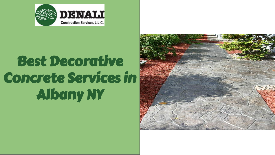

## Decorative Best Decorative Concrete Concrete Services in Services in the services in the services in the services of the services of the services of the services of the<br>Services in the services of the services of the services of the services of the services of the services of th Albany NY

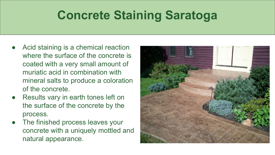## **Concrete Staining Saratoga**

- Acid staining is a chemical reaction where the surface of the concrete is coated with a very small amount of muriatic acid in combination with mineral salts to produce a coloration of the concrete.
- Results vary in earth tones left on the surface of the concrete by the process.
- The finished process leaves your concrete with a uniquely mottled and natural appearance.

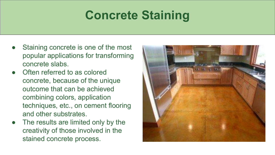## **Concrete Staining**

- Staining concrete is one of the most popular applications for transforming concrete slabs.
- **Often referred to as colored** concrete, because of the unique outcome that can be achieved combining colors, application techniques, etc., on cement flooring and other substrates.
- The results are limited only by the creativity of those involved in the stained concrete process.

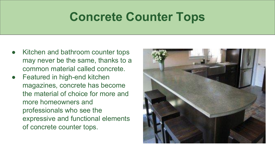## **Concrete Counter Tops**

- Kitchen and bathroom counter tops may never be the same, thanks to a common material called concrete.
- Featured in high-end kitchen magazines, concrete has become the material of choice for more and more homeowners and professionals who see the expressive and functional elements of concrete counter tops.